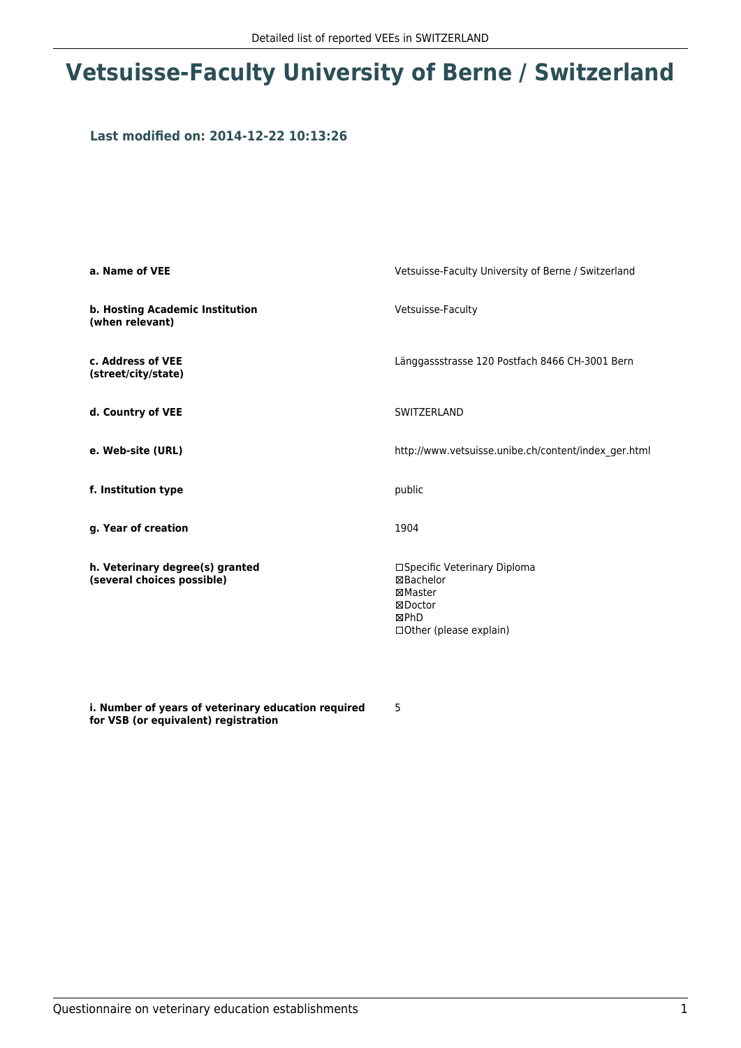## **Vetsuisse-Faculty University of Berne / Switzerland**

### **Last modified on: 2014-12-22 10:13:26**

| a. Name of VEE                                                | Vetsuisse-Faculty University of Berne / Switzerland                                                      |
|---------------------------------------------------------------|----------------------------------------------------------------------------------------------------------|
| b. Hosting Academic Institution<br>(when relevant)            | Vetsuisse-Faculty                                                                                        |
| c. Address of VEE<br>(street/city/state)                      | Länggassstrasse 120 Postfach 8466 CH-3001 Bern                                                           |
| d. Country of VEE                                             | SWITZERLAND                                                                                              |
| e. Web-site (URL)                                             | http://www.vetsuisse.unibe.ch/content/index_ger.html                                                     |
| f. Institution type                                           | public                                                                                                   |
| g. Year of creation                                           | 1904                                                                                                     |
| h. Veterinary degree(s) granted<br>(several choices possible) | □Specific Veterinary Diploma<br>⊠Bachelor<br>⊠Master<br>⊠Doctor<br>⊠PhD<br>$\Box$ Other (please explain) |

**i. Number of years of veterinary education required for VSB (or equivalent) registration**

5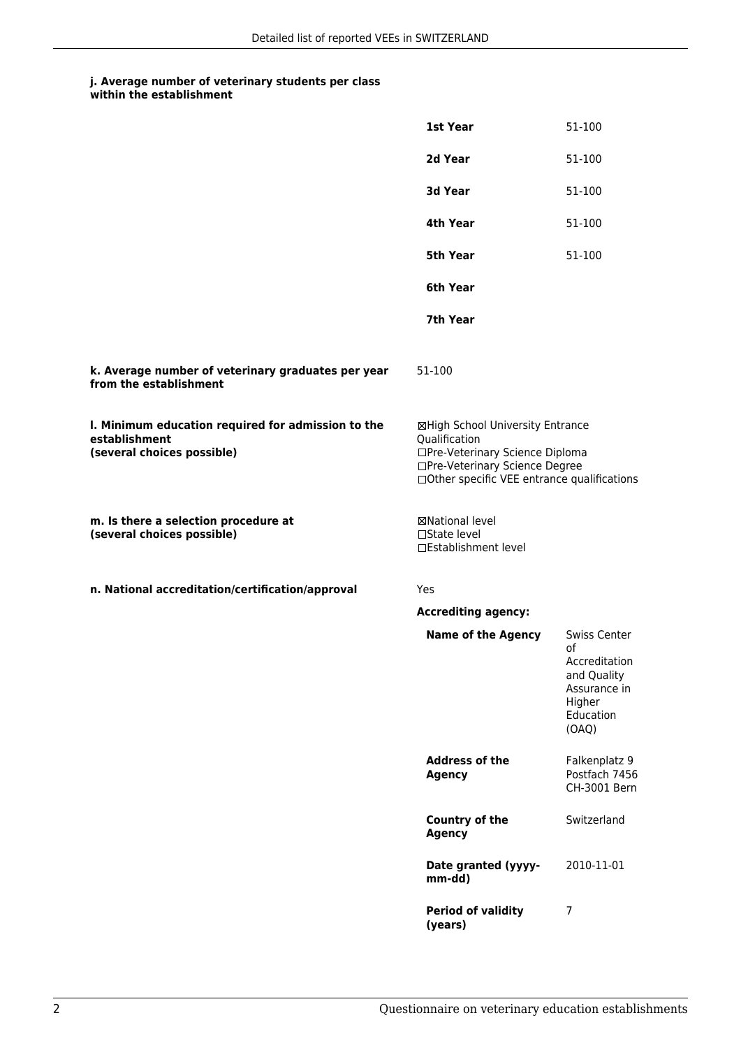## **j. Average number of veterinary students per class**

|                                                                                                   | 1st Year                                                                                                                                                              | 51-100                                                                                                    |
|---------------------------------------------------------------------------------------------------|-----------------------------------------------------------------------------------------------------------------------------------------------------------------------|-----------------------------------------------------------------------------------------------------------|
|                                                                                                   | 2d Year                                                                                                                                                               | 51-100                                                                                                    |
|                                                                                                   | 3d Year                                                                                                                                                               | 51-100                                                                                                    |
|                                                                                                   | 4th Year                                                                                                                                                              | 51-100                                                                                                    |
|                                                                                                   | 5th Year                                                                                                                                                              | 51-100                                                                                                    |
|                                                                                                   | 6th Year                                                                                                                                                              |                                                                                                           |
|                                                                                                   | 7th Year                                                                                                                                                              |                                                                                                           |
| k. Average number of veterinary graduates per year<br>from the establishment                      | 51-100                                                                                                                                                                |                                                                                                           |
| I. Minimum education required for admission to the<br>establishment<br>(several choices possible) | ⊠High School University Entrance<br>Qualification<br>□Pre-Veterinary Science Diploma<br>□Pre-Veterinary Science Degree<br>□Other specific VEE entrance qualifications |                                                                                                           |
| m. Is there a selection procedure at<br>(several choices possible)                                | <b>⊠National level</b><br>□State level<br>□Establishment level                                                                                                        |                                                                                                           |
| n. National accreditation/certification/approval                                                  | Yes                                                                                                                                                                   |                                                                                                           |
|                                                                                                   | <b>Accrediting agency:</b>                                                                                                                                            |                                                                                                           |
|                                                                                                   | <b>Name of the Agency</b>                                                                                                                                             | <b>Swiss Center</b><br>οf<br>Accreditation<br>and Quality<br>Assurance in<br>Higher<br>Education<br>(OAQ) |
|                                                                                                   | <b>Address of the</b><br><b>Agency</b>                                                                                                                                | Falkenplatz 9<br>Postfach 7456<br>CH-3001 Bern                                                            |
|                                                                                                   | <b>Country of the</b><br><b>Agency</b>                                                                                                                                | Switzerland                                                                                               |
|                                                                                                   | Date granted (yyyy-<br>mm-dd)                                                                                                                                         | 2010-11-01                                                                                                |
|                                                                                                   | <b>Period of validity</b><br>(years)                                                                                                                                  | 7                                                                                                         |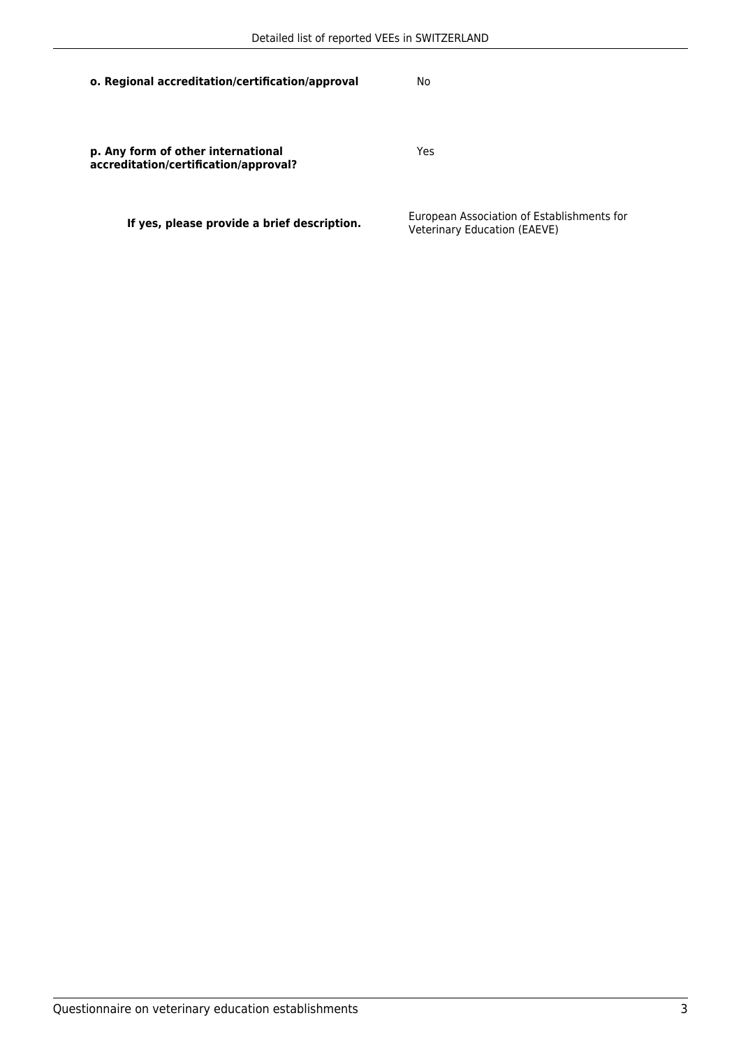| o. Regional accreditation/certification/approval                            | No                                                                         |
|-----------------------------------------------------------------------------|----------------------------------------------------------------------------|
| p. Any form of other international<br>accreditation/certification/approval? | Yes                                                                        |
| If yes, please provide a brief description.                                 | European Association of Establishments for<br>Veterinary Education (EAEVE) |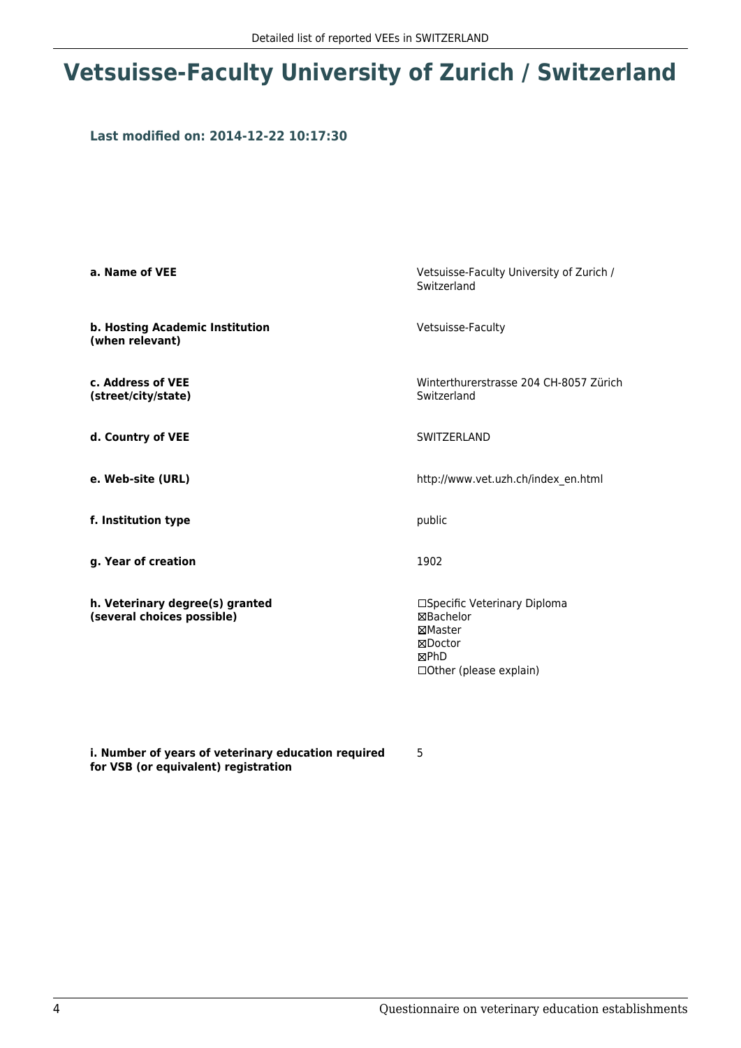# **Vetsuisse-Faculty University of Zurich / Switzerland**

### **Last modified on: 2014-12-22 10:17:30**

| a. Name of VEE                                                | Vetsuisse-Faculty University of Zurich /<br>Switzerland                                                    |
|---------------------------------------------------------------|------------------------------------------------------------------------------------------------------------|
| b. Hosting Academic Institution<br>(when relevant)            | Vetsuisse-Faculty                                                                                          |
| c. Address of VEE<br>(street/city/state)                      | Winterthurerstrasse 204 CH-8057 Zürich<br>Switzerland                                                      |
| d. Country of VEE                                             | SWITZERLAND                                                                                                |
| e. Web-site (URL)                                             | http://www.vet.uzh.ch/index en.html                                                                        |
| f. Institution type                                           | public                                                                                                     |
| g. Year of creation                                           | 1902                                                                                                       |
| h. Veterinary degree(s) granted<br>(several choices possible) | □Specific Veterinary Diploma<br>⊠Bachelor<br>⊠Master<br>⊠Doctor<br><b>MPhD</b><br>□ Other (please explain) |

**i. Number of years of veterinary education required for VSB (or equivalent) registration**

5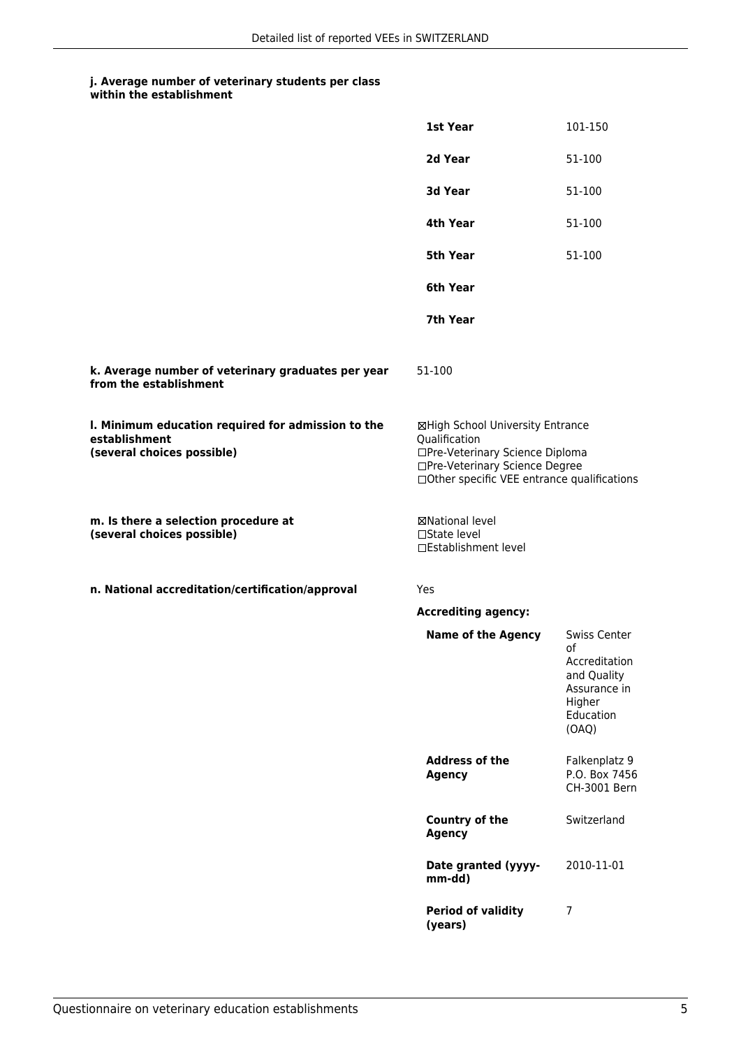## **j. Average number of veterinary students per class**

| within the establishment |
|--------------------------|
|                          |

|                                                                                                   | 1st Year                                                                                                                                                              | 101-150                                                                                                   |
|---------------------------------------------------------------------------------------------------|-----------------------------------------------------------------------------------------------------------------------------------------------------------------------|-----------------------------------------------------------------------------------------------------------|
|                                                                                                   | 2d Year                                                                                                                                                               | 51-100                                                                                                    |
|                                                                                                   | 3d Year                                                                                                                                                               | 51-100                                                                                                    |
|                                                                                                   | 4th Year                                                                                                                                                              | 51-100                                                                                                    |
|                                                                                                   | 5th Year                                                                                                                                                              | 51-100                                                                                                    |
|                                                                                                   | 6th Year                                                                                                                                                              |                                                                                                           |
|                                                                                                   | 7th Year                                                                                                                                                              |                                                                                                           |
| k. Average number of veterinary graduates per year<br>from the establishment                      | 51-100                                                                                                                                                                |                                                                                                           |
| I. Minimum education required for admission to the<br>establishment<br>(several choices possible) | ⊠High School University Entrance<br>Qualification<br>□Pre-Veterinary Science Diploma<br>□Pre-Veterinary Science Degree<br>□Other specific VEE entrance qualifications |                                                                                                           |
| m. Is there a selection procedure at<br>(several choices possible)                                | ⊠National level<br>$\square$ State level<br>□Establishment level                                                                                                      |                                                                                                           |
| n. National accreditation/certification/approval                                                  | Yes                                                                                                                                                                   |                                                                                                           |
|                                                                                                   | <b>Accrediting agency:</b>                                                                                                                                            |                                                                                                           |
|                                                                                                   | <b>Name of the Agency</b>                                                                                                                                             | <b>Swiss Center</b><br>οf<br>Accreditation<br>and Quality<br>Assurance in<br>Higher<br>Education<br>(OAQ) |
|                                                                                                   | <b>Address of the</b><br><b>Agency</b>                                                                                                                                | Falkenplatz 9<br>P.O. Box 7456<br>CH-3001 Bern                                                            |
|                                                                                                   | <b>Country of the</b><br><b>Agency</b>                                                                                                                                | Switzerland                                                                                               |
|                                                                                                   | Date granted (yyyy-<br>mm-dd)                                                                                                                                         | 2010-11-01                                                                                                |
|                                                                                                   | <b>Period of validity</b><br>(years)                                                                                                                                  | 7                                                                                                         |